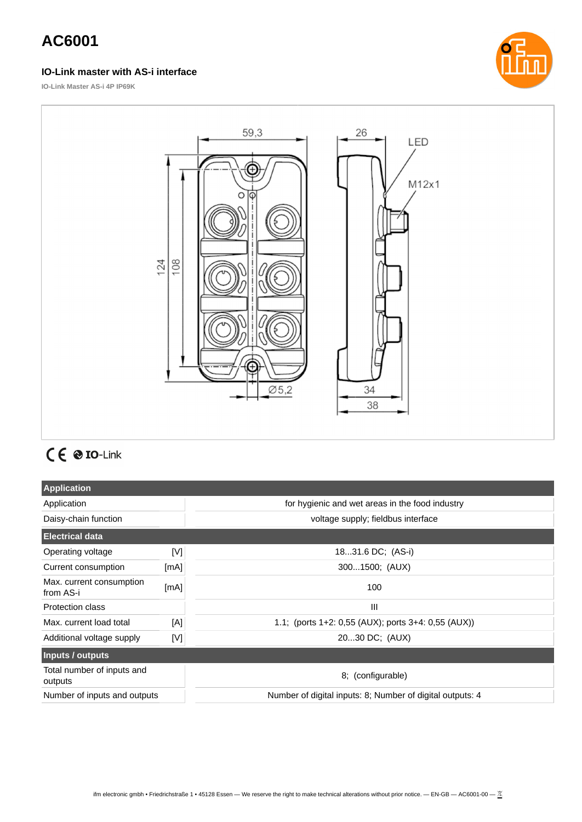#### **IO-Link master with AS-i interface**



**IO-Link Master AS-i 4P IP69K**



# $C \in \otimes$  IO-Link

| <b>Application</b>                    |              |                                                           |  |
|---------------------------------------|--------------|-----------------------------------------------------------|--|
| Application                           |              | for hygienic and wet areas in the food industry           |  |
| Daisy-chain function                  |              | voltage supply; fieldbus interface                        |  |
| <b>Electrical data</b>                |              |                                                           |  |
| Operating voltage                     | [N]          | 1831.6 DC; (AS-i)                                         |  |
| Current consumption                   | [mA]         | 3001500; (AUX)                                            |  |
| Max. current consumption<br>from AS-i | [mA]         | 100                                                       |  |
| <b>Protection class</b>               |              | Ш                                                         |  |
| Max. current load total               | [A]          | 1.1; (ports $1+2$ : 0,55 (AUX); ports $3+4$ : 0,55 (AUX)) |  |
| Additional voltage supply             | $\mathbb{N}$ | 2030 DC; (AUX)                                            |  |
| Inputs / outputs                      |              |                                                           |  |
| Total number of inputs and<br>outputs |              | 8; (configurable)                                         |  |
| Number of inputs and outputs          |              | Number of digital inputs: 8; Number of digital outputs: 4 |  |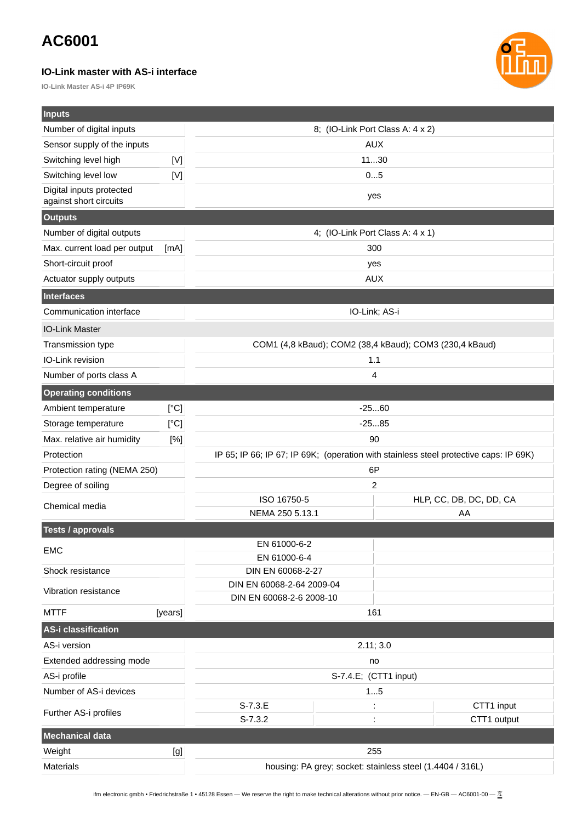#### **IO-Link master with AS-i interface**

**IO-Link Master AS-i 4P IP69K**



| <b>Inputs</b>                                      |         |                                                                                       |                         |  |
|----------------------------------------------------|---------|---------------------------------------------------------------------------------------|-------------------------|--|
| Number of digital inputs                           |         | 8; (IO-Link Port Class A: 4 x 2)                                                      |                         |  |
| Sensor supply of the inputs                        |         | <b>AUX</b>                                                                            |                         |  |
| Switching level high                               | [V]     | 1130                                                                                  |                         |  |
| Switching level low                                | [<]     | 05                                                                                    |                         |  |
| Digital inputs protected<br>against short circuits |         | yes                                                                                   |                         |  |
| <b>Outputs</b>                                     |         |                                                                                       |                         |  |
| Number of digital outputs                          |         | 4; (IO-Link Port Class A: 4 x 1)                                                      |                         |  |
| Max. current load per output                       | [mA]    | 300                                                                                   |                         |  |
| Short-circuit proof                                |         | yes                                                                                   |                         |  |
| Actuator supply outputs                            |         | <b>AUX</b>                                                                            |                         |  |
| <b>Interfaces</b>                                  |         |                                                                                       |                         |  |
| Communication interface                            |         | IO-Link; AS-i                                                                         |                         |  |
| <b>IO-Link Master</b>                              |         |                                                                                       |                         |  |
| Transmission type                                  |         | COM1 (4,8 kBaud); COM2 (38,4 kBaud); COM3 (230,4 kBaud)                               |                         |  |
| IO-Link revision                                   |         | 1.1                                                                                   |                         |  |
| Number of ports class A                            |         | 4                                                                                     |                         |  |
| <b>Operating conditions</b>                        |         |                                                                                       |                         |  |
| Ambient temperature                                | [°C]    | $-2560$                                                                               |                         |  |
| Storage temperature                                | [°C]    | $-2585$                                                                               |                         |  |
| Max. relative air humidity                         | [%]     | 90                                                                                    |                         |  |
| Protection                                         |         | IP 65; IP 66; IP 67; IP 69K; (operation with stainless steel protective caps: IP 69K) |                         |  |
| Protection rating (NEMA 250)                       |         | 6P                                                                                    |                         |  |
| Degree of soiling                                  |         | 2                                                                                     |                         |  |
| Chemical media                                     |         | ISO 16750-5                                                                           | HLP, CC, DB, DC, DD, CA |  |
|                                                    |         | NEMA 250 5.13.1                                                                       | AA                      |  |
| <b>Tests / approvals</b>                           |         |                                                                                       |                         |  |
| <b>EMC</b>                                         |         | EN 61000-6-2                                                                          |                         |  |
|                                                    |         | EN 61000-6-4<br>DIN EN 60068-2-27                                                     |                         |  |
| Shock resistance                                   |         | DIN EN 60068-2-64 2009-04                                                             |                         |  |
| Vibration resistance                               |         | DIN EN 60068-2-6 2008-10                                                              |                         |  |
| <b>MTTF</b>                                        | [years] | 161                                                                                   |                         |  |
| <b>AS-i classification</b>                         |         |                                                                                       |                         |  |
| AS-i version                                       |         | 2.11; 3.0                                                                             |                         |  |
| Extended addressing mode                           | no      |                                                                                       |                         |  |
| AS-i profile                                       |         | S-7.4.E; (CTT1 input)                                                                 |                         |  |
| Number of AS-i devices                             |         | 15                                                                                    |                         |  |
| Further AS-i profiles                              |         | $S-7.3.E$<br>$\ddot{\cdot}$                                                           | CTT1 input              |  |
|                                                    |         | $S-7.3.2$                                                                             | CTT1 output             |  |
| <b>Mechanical data</b>                             |         |                                                                                       |                         |  |
| Weight                                             | [g]     | 255                                                                                   |                         |  |
| Materials                                          |         | housing: PA grey; socket: stainless steel (1.4404 / 316L)                             |                         |  |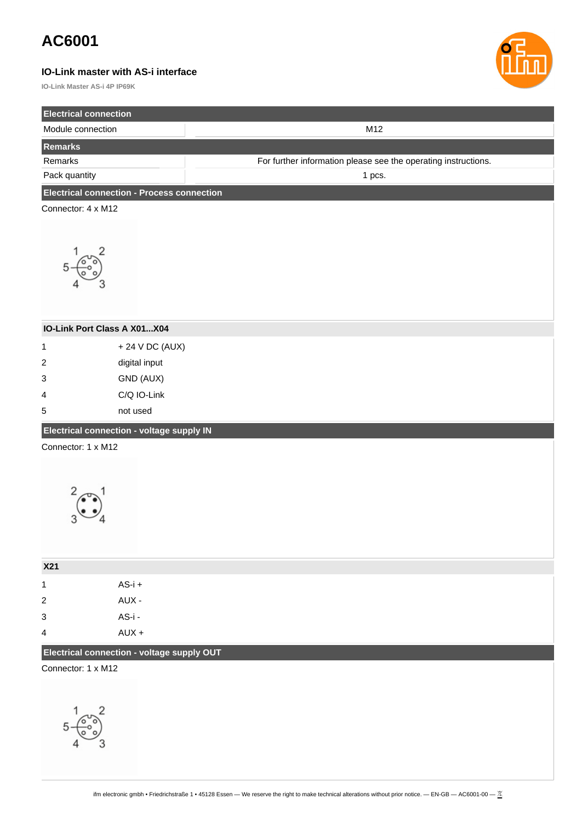#### **IO-Link master with AS-i interface**

**IO-Link Master AS-i 4P IP69K**



| <b>Electrical connection</b>                      |                 |                                                                |  |
|---------------------------------------------------|-----------------|----------------------------------------------------------------|--|
| Module connection                                 |                 | M12                                                            |  |
| Remarks                                           |                 |                                                                |  |
| Remarks                                           |                 | For further information please see the operating instructions. |  |
| Pack quantity                                     |                 | 1 pcs.                                                         |  |
| <b>Electrical connection - Process connection</b> |                 |                                                                |  |
| Connector: 4 x M12                                |                 |                                                                |  |
|                                                   |                 |                                                                |  |
| $\frac{1}{3}$<br>5                                |                 |                                                                |  |
| IO-Link Port Class A X01X04                       |                 |                                                                |  |
| $\mathbf 1$                                       | + 24 V DC (AUX) |                                                                |  |
| digital input<br>$\overline{\mathbf{c}}$          |                 |                                                                |  |
| GND (AUX)<br>3                                    |                 |                                                                |  |
| C/Q IO-Link<br>4                                  |                 |                                                                |  |
| 5                                                 | not used        |                                                                |  |
| Electrical connection - voltage supply IN         |                 |                                                                |  |
| Connector: 1 x M12                                |                 |                                                                |  |
| X21                                               |                 |                                                                |  |
| $\mathbf 1$                                       | $AS-i +$        |                                                                |  |
| $\sqrt{2}$                                        | AUX -           |                                                                |  |
| 3                                                 | AS-i -          |                                                                |  |
| 4                                                 | $AUX +$         |                                                                |  |
| Electrical connection - voltage supply OUT        |                 |                                                                |  |
| Connector: 1 x M12                                |                 |                                                                |  |
|                                                   |                 |                                                                |  |